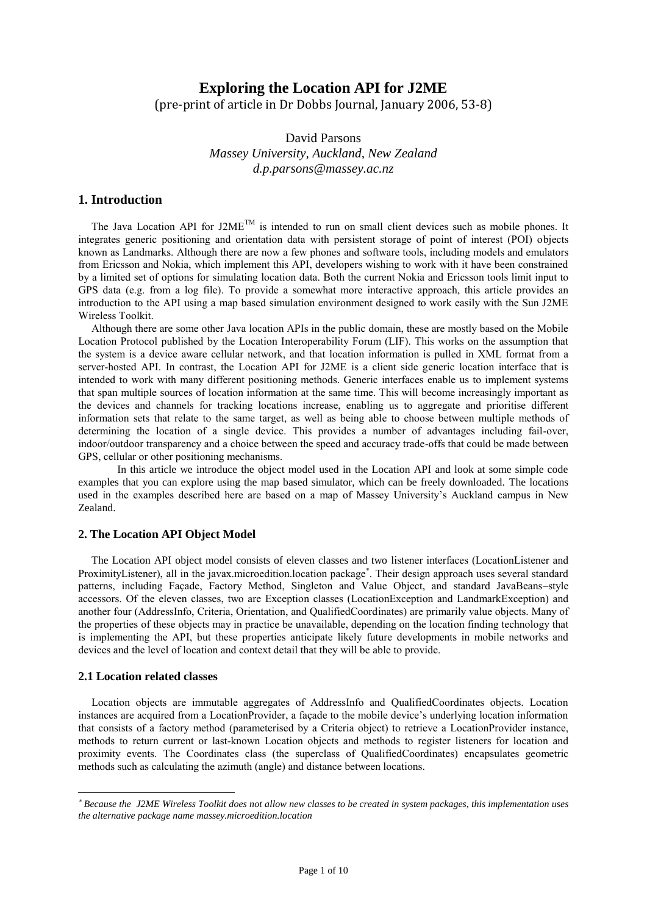# **Exploring the Location API for J2ME**

(pre-print of article in Dr Dobbs Journal, January 2006, 53-8)

David Parsons *Massey University, Auckland, New Zealand d.p.parsons@massey.ac.nz*

## **1. Introduction**

The Java Location API for J2ME<sup>TM</sup> is intended to run on small client devices such as mobile phones. It integrates generic positioning and orientation data with persistent storage of point of interest (POI) objects known as Landmarks. Although there are now a few phones and software tools, including models and emulators from Ericsson and Nokia, which implement this API, developers wishing to work with it have been constrained by a limited set of options for simulating location data. Both the current Nokia and Ericsson tools limit input to GPS data (e.g. from a log file). To provide a somewhat more interactive approach, this article provides an introduction to the API using a map based simulation environment designed to work easily with the Sun J2ME Wireless Toolkit.

Although there are some other Java location APIs in the public domain, these are mostly based on the Mobile Location Protocol published by the Location Interoperability Forum (LIF). This works on the assumption that the system is a device aware cellular network, and that location information is pulled in XML format from a server-hosted API. In contrast, the Location API for J2ME is a client side generic location interface that is intended to work with many different positioning methods. Generic interfaces enable us to implement systems that span multiple sources of location information at the same time. This will become increasingly important as the devices and channels for tracking locations increase, enabling us to aggregate and prioritise different information sets that relate to the same target, as well as being able to choose between multiple methods of determining the location of a single device. This provides a number of advantages including fail-over, indoor/outdoor transparency and a choice between the speed and accuracy trade-offs that could be made between GPS, cellular or other positioning mechanisms.

In this article we introduce the object model used in the Location API and look at some simple code examples that you can explore using the map based simulator, which can be freely downloaded. The locations used in the examples described here are based on a map of Massey University's Auckland campus in New Zealand.

## **2. The Location API Object Model**

The Location API object model consists of eleven classes and two listener interfaces (LocationListener and ProximityListener), all in the javax.microedition.location package . Their design approach uses several standard patterns, including Façade, Factory Method, Singleton and Value Object, and standard JavaBeans–style accessors. Of the eleven classes, two are Exception classes (LocationException and LandmarkException) and another four (AddressInfo, Criteria, Orientation, and QualifiedCoordinates) are primarily value objects. Many of the properties of these objects may in practice be unavailable, depending on the location finding technology that is implementing the API, but these properties anticipate likely future developments in mobile networks and devices and the level of location and context detail that they will be able to provide.

## **2.1 Location related classes**

1

Location objects are immutable aggregates of AddressInfo and QualifiedCoordinates objects. Location instances are acquired from a LocationProvider, a façade to the mobile device"s underlying location information that consists of a factory method (parameterised by a Criteria object) to retrieve a LocationProvider instance, methods to return current or last-known Location objects and methods to register listeners for location and proximity events. The Coordinates class (the superclass of QualifiedCoordinates) encapsulates geometric methods such as calculating the azimuth (angle) and distance between locations.

*Because the J2ME Wireless Toolkit does not allow new classes to be created in system packages, this implementation uses the alternative package name massey.microedition.location*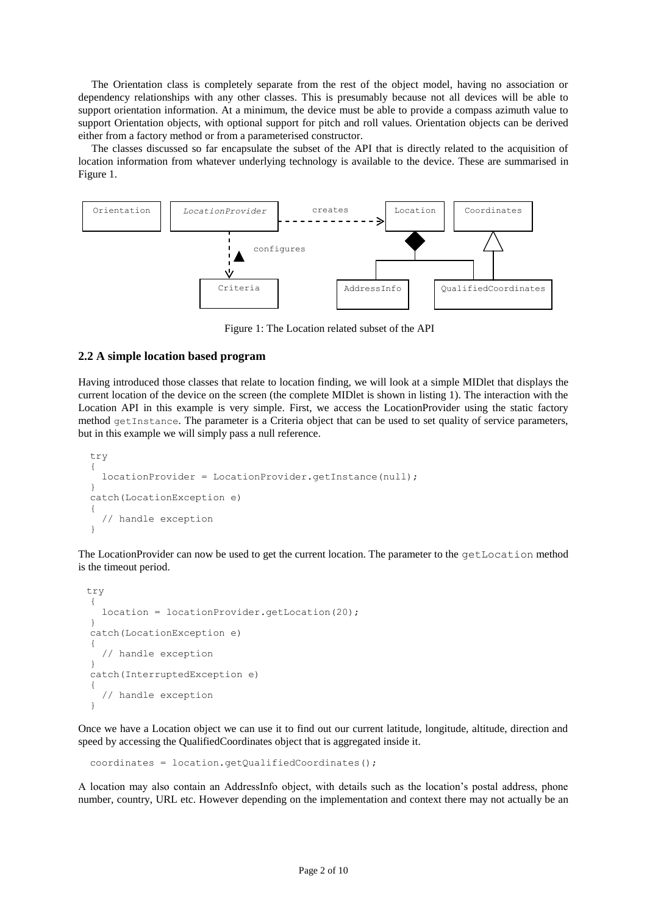The Orientation class is completely separate from the rest of the object model, having no association or dependency relationships with any other classes. This is presumably because not all devices will be able to support orientation information. At a minimum, the device must be able to provide a compass azimuth value to support Orientation objects, with optional support for pitch and roll values. Orientation objects can be derived either from a factory method or from a parameterised constructor.

The classes discussed so far encapsulate the subset of the API that is directly related to the acquisition of location information from whatever underlying technology is available to the device. These are summarised in Figure 1.



Figure 1: The Location related subset of the API

### **2.2 A simple location based program**

Having introduced those classes that relate to location finding, we will look at a simple MIDlet that displays the current location of the device on the screen (the complete MIDlet is shown in listing 1). The interaction with the Location API in this example is very simple. First, we access the LocationProvider using the static factory method getInstance. The parameter is a Criteria object that can be used to set quality of service parameters, but in this example we will simply pass a null reference.

```
 try
\left\{ \begin{array}{c} \end{array} \right. locationProvider = LocationProvider.getInstance(null);
 }
    catch(LocationException e)
\left\{ \begin{array}{c} \end{array} \right. // handle exception
 }
```
The LocationProvider can now be used to get the current location. The parameter to the getLocation method is the timeout period.

```
 try
\left\{ \begin{array}{c} \end{array} \right. location = locationProvider.getLocation(20);
 }
   catch(LocationException e)
   {
      // handle exception
 }
   catch(InterruptedException e)
\{ // handle exception
 }
```
Once we have a Location object we can use it to find out our current latitude, longitude, altitude, direction and speed by accessing the QualifiedCoordinates object that is aggregated inside it.

```
 coordinates = location.getQualifiedCoordinates();
```
A location may also contain an AddressInfo object, with details such as the location's postal address, phone number, country, URL etc. However depending on the implementation and context there may not actually be an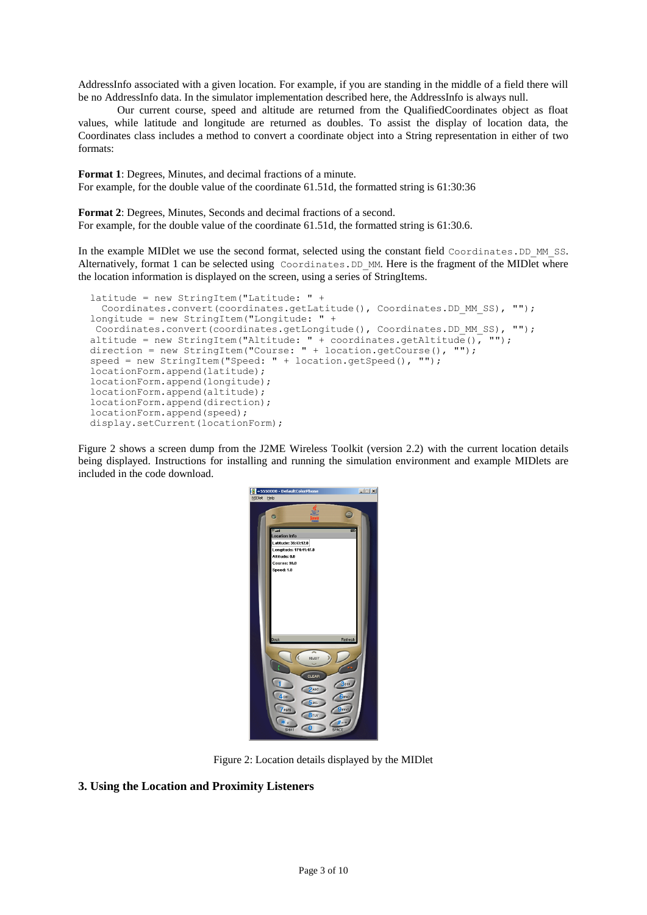AddressInfo associated with a given location. For example, if you are standing in the middle of a field there will be no AddressInfo data. In the simulator implementation described here, the AddressInfo is always null.

Our current course, speed and altitude are returned from the QualifiedCoordinates object as float values, while latitude and longitude are returned as doubles. To assist the display of location data, the Coordinates class includes a method to convert a coordinate object into a String representation in either of two formats:

**Format 1**: Degrees, Minutes, and decimal fractions of a minute. For example, for the double value of the coordinate 61.51d, the formatted string is 61:30:36

**Format 2**: Degrees, Minutes, Seconds and decimal fractions of a second. For example, for the double value of the coordinate 61.51d, the formatted string is 61:30.6.

In the example MIDlet we use the second format, selected using the constant field Coordinates.DD MM SS. Alternatively, format 1 can be selected using Coordinates. DD\_MM. Here is the fragment of the MIDlet where the location information is displayed on the screen, using a series of StringItems.

```
 latitude = new StringItem("Latitude: " +
  Coordinates.convert(coordinates.getLatitude(), Coordinates.DD MM SS), "");
 longitude = new StringItem("Longitude: " +
 Coordinates.convert(coordinates.getLongitude(), Coordinates.DD_MM_SS), "");
altitude = new StringItem("Altitude: " + coordinates.getAltitude(), "");
 direction = new StringItem("Course: " + location.getCourse(), "");
 speed = new StringItem("Speed: " + location.getSpeed(), "");
 locationForm.append(latitude);
 locationForm.append(longitude);
 locationForm.append(altitude);
 locationForm.append(direction);
 locationForm.append(speed);
display.setCurrent(locationForm);
```
Figure 2 shows a screen dump from the J2ME Wireless Toolkit (version 2.2) with the current location details being displayed. Instructions for installing and running the simulation environment and example MIDlets are included in the code download.



Figure 2: Location details displayed by the MIDlet

## **3. Using the Location and Proximity Listeners**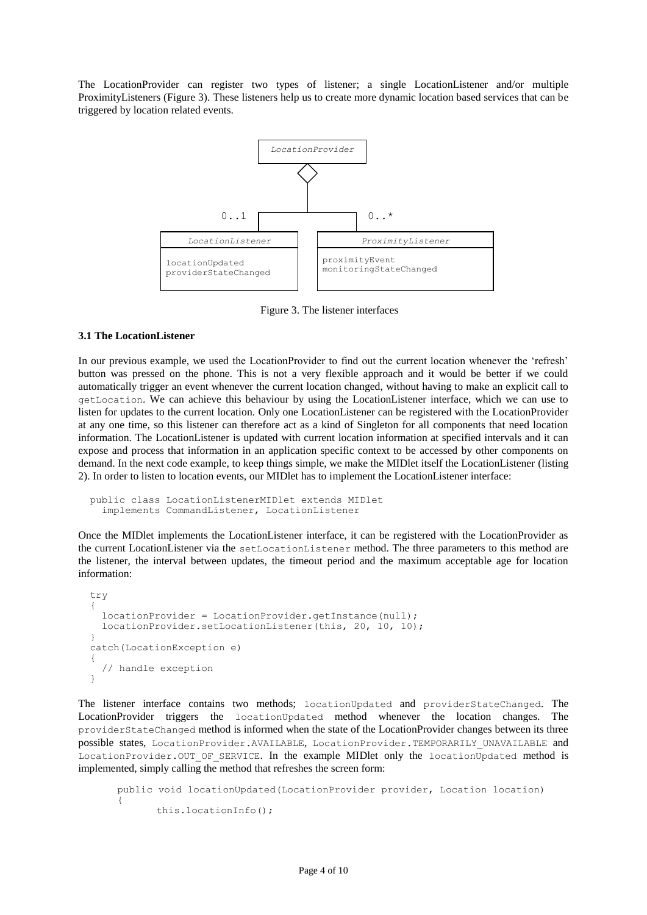The LocationProvider can register two types of listener; a single LocationListener and/or multiple ProximityListeners (Figure 3). These listeners help us to create more dynamic location based services that can be triggered by location related events.



Figure 3. The listener interfaces

## **3.1 The LocationListener**

In our previous example, we used the LocationProvider to find out the current location whenever the 'refresh' button was pressed on the phone. This is not a very flexible approach and it would be better if we could automatically trigger an event whenever the current location changed, without having to make an explicit call to getLocation. We can achieve this behaviour by using the LocationListener interface, which we can use to listen for updates to the current location. Only one LocationListener can be registered with the LocationProvider at any one time, so this listener can therefore act as a kind of Singleton for all components that need location information. The LocationListener is updated with current location information at specified intervals and it can expose and process that information in an application specific context to be accessed by other components on demand. In the next code example, to keep things simple, we make the MIDlet itself the LocationListener (listing 2). In order to listen to location events, our MIDlet has to implement the LocationListener interface:

```
 public class LocationListenerMIDlet extends MIDlet
   implements CommandListener, LocationListener
```
Once the MIDlet implements the LocationListener interface, it can be registered with the LocationProvider as the current LocationListener via the setLocationListener method. The three parameters to this method are the listener, the interval between updates, the timeout period and the maximum acceptable age for location information:

```
 try
\left\{ \begin{array}{c} \end{array} \right. locationProvider = LocationProvider.getInstance(null);
      locationProvider.setLocationListener(this, 20, 10, 10);
    }
   catch(LocationException e)
\left\{ \begin{array}{c} \end{array} \right. // handle exception
    }
```
The listener interface contains two methods; locationUpdated and providerStateChanged. The LocationProvider triggers the locationUpdated method whenever the location changes. The providerStateChanged method is informed when the state of the LocationProvider changes between its three possible states, LocationProvider.AVAILABLE, LocationProvider.TEMPORARILY\_UNAVAILABLE and LocationProvider.OUT\_OF\_SERVICE. In the example MIDlet only the locationUpdated method is implemented, simply calling the method that refreshes the screen form:

```
public void locationUpdated(LocationProvider provider, Location location)
{
      this.locationInfo();
```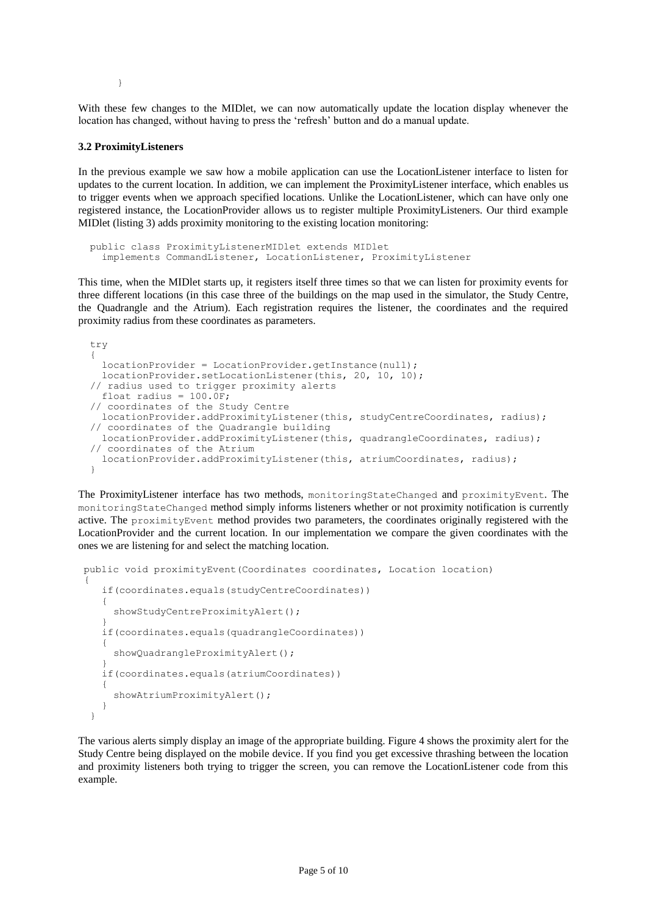}

With these few changes to the MIDlet, we can now automatically update the location display whenever the location has changed, without having to press the 'refresh' button and do a manual update.

## **3.2 ProximityListeners**

In the previous example we saw how a mobile application can use the LocationListener interface to listen for updates to the current location. In addition, we can implement the ProximityListener interface, which enables us to trigger events when we approach specified locations. Unlike the LocationListener, which can have only one registered instance, the LocationProvider allows us to register multiple ProximityListeners. Our third example MIDlet (listing 3) adds proximity monitoring to the existing location monitoring:

```
 public class ProximityListenerMIDlet extends MIDlet
   implements CommandListener, LocationListener, ProximityListener
```
This time, when the MIDlet starts up, it registers itself three times so that we can listen for proximity events for three different locations (in this case three of the buildings on the map used in the simulator, the Study Centre, the Quadrangle and the Atrium). Each registration requires the listener, the coordinates and the required proximity radius from these coordinates as parameters.

```
 try
 {
   locationProvider = LocationProvider.getInstance(null);
   locationProvider.setLocationListener(this, 20, 10, 10);
 // radius used to trigger proximity alerts
  float radius = 100.0F;
 // coordinates of the Study Centre
   locationProvider.addProximityListener(this, studyCentreCoordinates, radius);
 // coordinates of the Quadrangle building
   locationProvider.addProximityListener(this, quadrangleCoordinates, radius);
 // coordinates of the Atrium
   locationProvider.addProximityListener(this, atriumCoordinates, radius);
 }
```
The ProximityListener interface has two methods, monitoringStateChanged and proximityEvent. The monitoringStateChanged method simply informs listeners whether or not proximity notification is currently active. The proximityEvent method provides two parameters, the coordinates originally registered with the LocationProvider and the current location. In our implementation we compare the given coordinates with the ones we are listening for and select the matching location.

```
 public void proximityEvent(Coordinates coordinates, Location location)
 {
     if(coordinates.equals(studyCentreCoordinates))
\left\{\begin{array}{ccc} \end{array}\right\} showStudyCentreProximityAlert();
 }
     if(coordinates.equals(quadrangleCoordinates))
\left\{\begin{array}{ccc} \end{array}\right\}showQuadrangleProximityAlert();
 }
     if(coordinates.equals(atriumCoordinates))
      {
        showAtriumProximityAlert();
      }
   }
```
The various alerts simply display an image of the appropriate building. Figure 4 shows the proximity alert for the Study Centre being displayed on the mobile device. If you find you get excessive thrashing between the location and proximity listeners both trying to trigger the screen, you can remove the LocationListener code from this example.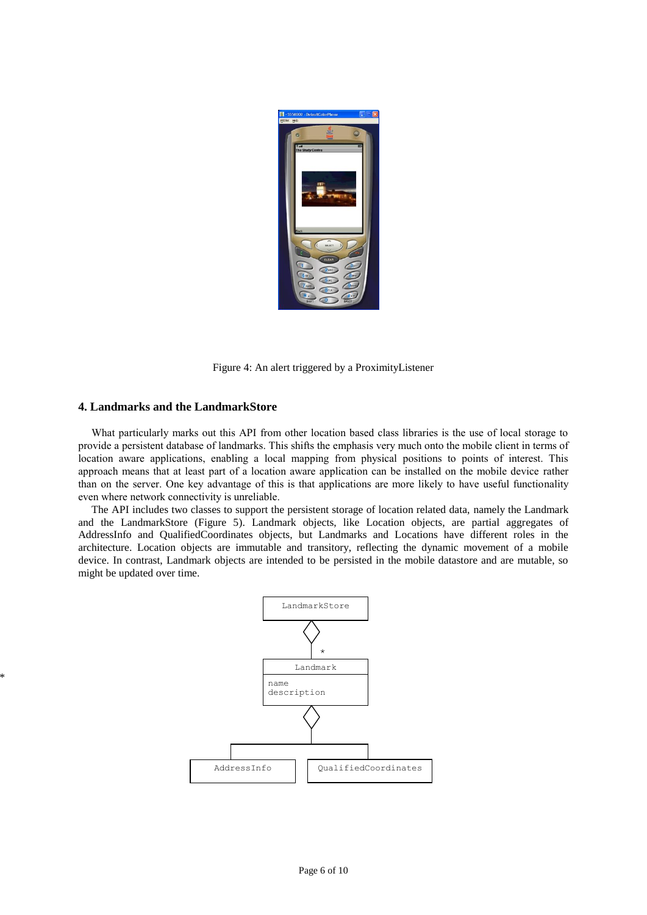

Figure 4: An alert triggered by a ProximityListener

### **4. Landmarks and the LandmarkStore**

\*

What particularly marks out this API from other location based class libraries is the use of local storage to provide a persistent database of landmarks. This shifts the emphasis very much onto the mobile client in terms of location aware applications, enabling a local mapping from physical positions to points of interest. This approach means that at least part of a location aware application can be installed on the mobile device rather than on the server. One key advantage of this is that applications are more likely to have useful functionality even where network connectivity is unreliable.

The API includes two classes to support the persistent storage of location related data, namely the Landmark and the LandmarkStore (Figure 5). Landmark objects, like Location objects, are partial aggregates of AddressInfo and QualifiedCoordinates objects, but Landmarks and Locations have different roles in the architecture. Location objects are immutable and transitory, reflecting the dynamic movement of a mobile device. In contrast, Landmark objects are intended to be persisted in the mobile datastore and are mutable, so might be updated over time.

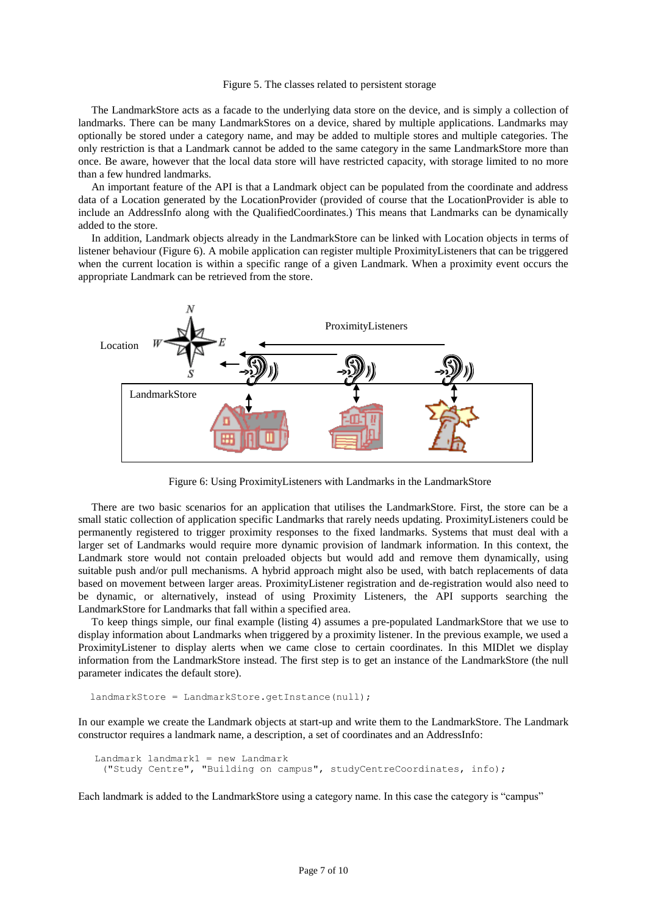#### Figure 5. The classes related to persistent storage

The LandmarkStore acts as a facade to the underlying data store on the device, and is simply a collection of landmarks. There can be many LandmarkStores on a device, shared by multiple applications. Landmarks may optionally be stored under a category name, and may be added to multiple stores and multiple categories. The only restriction is that a Landmark cannot be added to the same category in the same LandmarkStore more than once. Be aware, however that the local data store will have restricted capacity, with storage limited to no more than a few hundred landmarks.

An important feature of the API is that a Landmark object can be populated from the coordinate and address data of a Location generated by the LocationProvider (provided of course that the LocationProvider is able to include an AddressInfo along with the QualifiedCoordinates.) This means that Landmarks can be dynamically added to the store.

In addition, Landmark objects already in the LandmarkStore can be linked with Location objects in terms of listener behaviour (Figure 6). A mobile application can register multiple ProximityListeners that can be triggered when the current location is within a specific range of a given Landmark. When a proximity event occurs the appropriate Landmark can be retrieved from the store.



Figure 6: Using ProximityListeners with Landmarks in the LandmarkStore

There are two basic scenarios for an application that utilises the LandmarkStore. First, the store can be a small static collection of application specific Landmarks that rarely needs updating. ProximityListeners could be permanently registered to trigger proximity responses to the fixed landmarks. Systems that must deal with a larger set of Landmarks would require more dynamic provision of landmark information. In this context, the Landmark store would not contain preloaded objects but would add and remove them dynamically, using suitable push and/or pull mechanisms. A hybrid approach might also be used, with batch replacements of data based on movement between larger areas. ProximityListener registration and de-registration would also need to be dynamic, or alternatively, instead of using Proximity Listeners, the API supports searching the LandmarkStore for Landmarks that fall within a specified area.

To keep things simple, our final example (listing 4) assumes a pre-populated LandmarkStore that we use to display information about Landmarks when triggered by a proximity listener. In the previous example, we used a ProximityListener to display alerts when we came close to certain coordinates. In this MIDlet we display information from the LandmarkStore instead. The first step is to get an instance of the LandmarkStore (the null parameter indicates the default store).

```
 landmarkStore = LandmarkStore.getInstance(null);
```
In our example we create the Landmark objects at start-up and write them to the LandmarkStore. The Landmark constructor requires a landmark name, a description, a set of coordinates and an AddressInfo:

```
 Landmark landmark1 = new Landmark
  ("Study Centre", "Building on campus", studyCentreCoordinates, info);
```
Each landmark is added to the LandmarkStore using a category name. In this case the category is "campus"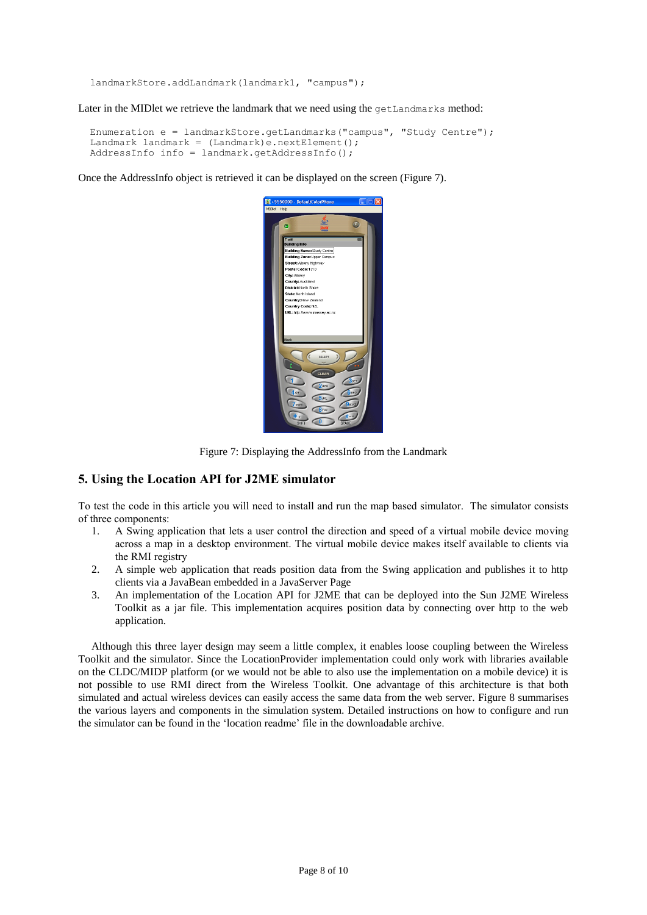```
 landmarkStore.addLandmark(landmark1, "campus");
```
Later in the MIDlet we retrieve the landmark that we need using the  $getLandmark$ s method:

```
 Enumeration e = landmarkStore.getLandmarks("campus", "Study Centre");
Landmark landmark = (Landmark)e.nextElement();
AddressInfo info = landmark.getAddressInfo();
```
Once the AddressInfo object is retrieved it can be displayed on the screen (Figure 7).



Figure 7: Displaying the AddressInfo from the Landmark

## **5. Using the Location API for J2ME simulator**

To test the code in this article you will need to install and run the map based simulator. The simulator consists of three components:

- 1. A Swing application that lets a user control the direction and speed of a virtual mobile device moving across a map in a desktop environment. The virtual mobile device makes itself available to clients via the RMI registry
- 2. A simple web application that reads position data from the Swing application and publishes it to http clients via a JavaBean embedded in a JavaServer Page
- 3. An implementation of the Location API for J2ME that can be deployed into the Sun J2ME Wireless Toolkit as a jar file. This implementation acquires position data by connecting over http to the web application.

Although this three layer design may seem a little complex, it enables loose coupling between the Wireless Toolkit and the simulator. Since the LocationProvider implementation could only work with libraries available on the CLDC/MIDP platform (or we would not be able to also use the implementation on a mobile device) it is not possible to use RMI direct from the Wireless Toolkit. One advantage of this architecture is that both simulated and actual wireless devices can easily access the same data from the web server. Figure 8 summarises the various layers and components in the simulation system. Detailed instructions on how to configure and run the simulator can be found in the 'location readme' file in the downloadable archive.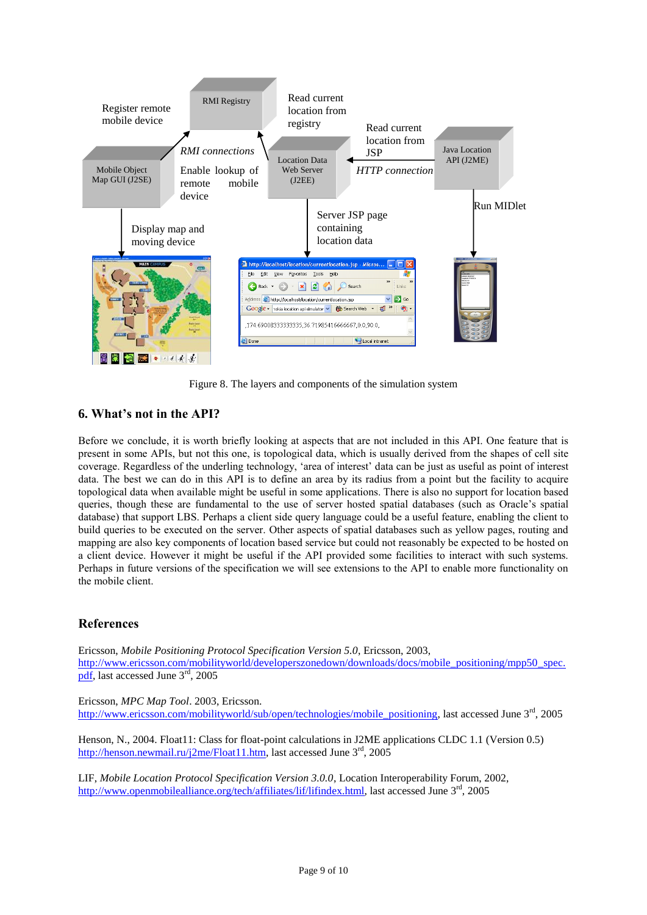

Figure 8. The layers and components of the simulation system

# **6. What's not in the API?**

Before we conclude, it is worth briefly looking at aspects that are not included in this API. One feature that is present in some APIs, but not this one, is topological data, which is usually derived from the shapes of cell site coverage. Regardless of the underling technology, "area of interest" data can be just as useful as point of interest data. The best we can do in this API is to define an area by its radius from a point but the facility to acquire topological data when available might be useful in some applications. There is also no support for location based queries, though these are fundamental to the use of server hosted spatial databases (such as Oracle"s spatial database) that support LBS. Perhaps a client side query language could be a useful feature, enabling the client to build queries to be executed on the server. Other aspects of spatial databases such as yellow pages, routing and mapping are also key components of location based service but could not reasonably be expected to be hosted on a client device. However it might be useful if the API provided some facilities to interact with such systems. Perhaps in future versions of the specification we will see extensions to the API to enable more functionality on the mobile client.

# **References**

Ericsson, *Mobile Positioning Protocol Specification Version 5.0*, Ericsson, 2003, [http://www.ericsson.com/mobilityworld/developerszonedown/downloads/docs/mobile\\_positioning/mpp50\\_spec.](http://www.ericsson.com/mobilityworld/developerszonedown/downloads/docs/mobile_positioning/mpp50_spec.pdf) [pdf,](http://www.ericsson.com/mobilityworld/developerszonedown/downloads/docs/mobile_positioning/mpp50_spec.pdf) last accessed June 3rd, 2005

Ericsson, *MPC Map Tool*. 2003, Ericsson. [http://www.ericsson.com/mobilityworld/sub/open/technologies/mobile\\_positioning,](http://www.ericsson.com/mobilityworld/sub/open/technologies/mobile_positioning) last accessed June 3rd, 2005

Henson, N., 2004. Float11: Class for float-point calculations in J2ME applications CLDC 1.1 (Version 0.5) [http://henson.newmail.ru/j2me/Float11.htm,](http://henson.newmail.ru/j2me/Float11.htm) last accessed June 3rd, 2005

LIF, *Mobile Location Protocol Specification Version 3.0.0*, Location Interoperability Forum, 2002, [http://www.openmobilealliance.org/tech/affiliates/lif/lifindex.html,](http://www.openmobilealliance.org/tech/affiliates/lif/lifindex.html) last accessed June 3<sup>rd</sup>, 2005